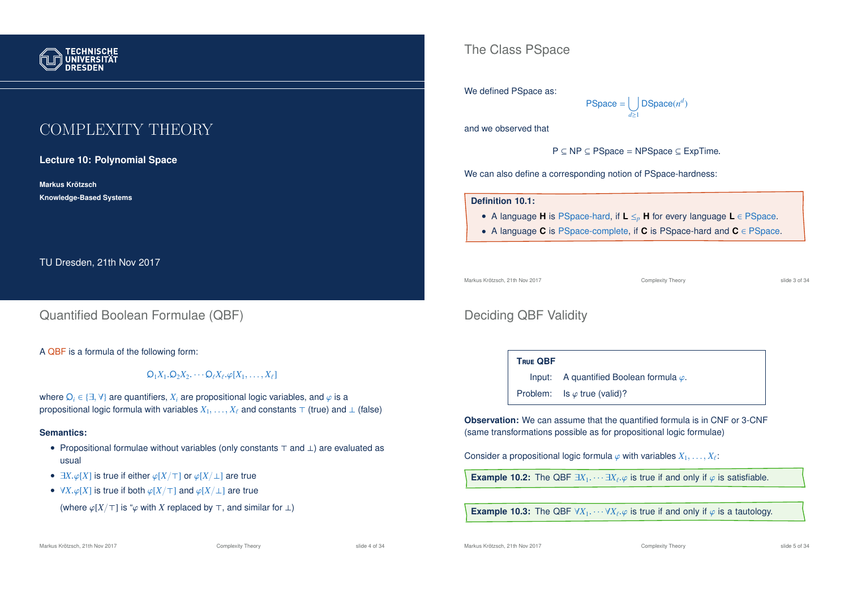

# COMPLEXITY THEORY

**Lecture 10: Polynomial Space**

**Markus Krotzsch ¨ Knowledge-Based Systems**

TU Dresden, 21th Nov 2017

### Quantified Boolean Formulae (QBF)

A QBF is a formula of the following form:

 $\mathsf{Q}_1X_1.\mathsf{Q}_2X_2.\cdots \mathsf{Q}_\ell X_\ell.\varphi[X_1,\ldots,X_\ell]$ 

where  $\mathcal{Q}_i \in \{\exists, \forall\}$  are quantifiers,  $X_i$  are propositional logic variables, and  $\varphi$  is a propositional logic formula with variables  $X_1, \ldots, X_\ell$  and constants  $\top$  (true) and  $\bot$  (false)

#### **Semantics:**

- Propositional formulae without variables (only constants  $\top$  and  $\bot$ ) are evaluated as usual
- $\exists X.\varphi[X]$  is true if either  $\varphi[X/\top]$  or  $\varphi[X/\bot]$  are true
- $\forall X.\varphi[X]$  is true if both  $\varphi[X/\top]$  and  $\varphi[X/\bot]$  are true

(where  $\varphi[X/\top]$  is " $\varphi$  with *X* replaced by  $\top$ , and similar for  $\bot$ )

Markus Krötzsch, 21th Nov 2017 **Complexity Theory** Complexity Theory slide 4 of 34

The Class PSpace

#### We defined PSpace as:

$$
\mathsf{PSpace} = \bigcup_{d \ge 1} \mathsf{DSpace}(n^d)
$$

and we observed that

P ⊆ NP ⊆ PSpace = NPSpace ⊆ ExpTime.

We can also define a corresponding notion of PSpace-hardness:

#### **Definition 10.1:**

- A language **H** is PSpace-hard, if **L** ≤*<sup>p</sup>* **H** for every language **L** ∈ PSpace.
- A language **C** is PSpace-complete, if **C** is PSpace-hard and **C** ∈ PSpace.

Markus Krötzsch, 21th Nov 2017 Complexity Theory slide 3 of 34

### Deciding QBF Validity

#### **T**rue **QBF**

Input: A quantified Boolean formula  $\varphi$ .

Problem: Is  $\varphi$  true (valid)?

**Observation:** We can assume that the quantified formula is in CNF or 3-CNF (same transformations possible as for propositional logic formulae)

Consider a propositional logic formula  $\varphi$  with variables  $X_1,\ldots,X_\ell\text{:}$ 

**Example 10.2:** The QBF  $\exists X_1 \cdots \exists X_\ell \varphi$  is true if and only if  $\varphi$  is satisfiable.

**Example 10.3:** The QBF  $\forall X_1 \cdots \forall X_\ell \varphi$  is true if and only if  $\varphi$  is a tautology.

Markus Krötzsch, 21th Nov 2017 **Complexity Theory** Complexity Theory slide 5 of 34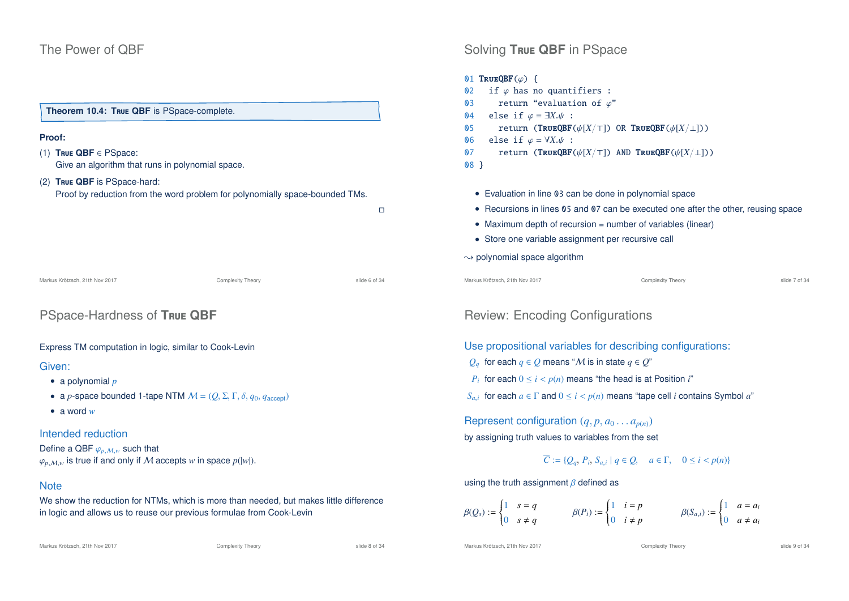### The Power of QBF

# **Theorem 10.4: T**rue **QBF** is PSpace-complete.

#### **Proof:**

- (1) **T**rue **QBF** ∈ PSpace: Give an algorithm that runs in polynomial space.
- (2) **T**rue **QBF** is PSpace-hard: Proof by reduction from the word problem for polynomially space-bounded TMs.

 $\Box$ 

Markus Krötzsch, 21th Nov 2017 **Complexity Theory** Complexity Theory slide 6 of 34

### PSpace-Hardness of **T**rue **QBF**

#### Express TM computation in logic, similar to Cook-Levin

#### Given:

- a polynomial *p*
- a *p*-space bounded 1-tape NTM  $M = (Q, \Sigma, \Gamma, \delta, q_0, q_{\text{accept}})$
- a word *w*

#### Intended reduction

Define a QBF  $\varphi_{p,M,w}$  such that  $\varphi_{p,M,w}$  is true if and only if M accepts *w* in space  $p(|w|)$ .

#### **Note**

We show the reduction for NTMs, which is more than needed, but makes little difference in logic and allows us to reuse our previous formulae from Cook-Levin

Markus Krötzsch, 21th Nov 2017 **Complexity Theory** Complexity Theory slide 8 of 34

Markus Krötzsch, 21th Nov 2017 **Complexity Theory** Complexity Theory slide 9 of 34

# Solving **T**rue **QBF** in PSpace 01 TRUEQBF $(\varphi)$  { 02 if  $\varphi$  has no quantifiers : 03 return "evaluation of  $\varphi$ " 04 else if  $\varphi = \exists X.\psi$  :<br>05 return (**TRUEOBF**) 05 return (TRUEQBF( $\psi[X/\top]$ ) OR TRUEQBF( $\psi[X/\bot]$ ))<br>06 else if  $\varphi = \forall X.\psi$ : 06 else if  $\varphi = \forall X.\psi$  :<br>07 return (**TRUEOBF**) return (TRUEQBF( $\psi[X/\top]$ ) AND TRUEQBF( $\psi[X/\bot]$ )) 08 } • Evaluation in line 03 can be done in polynomial space • Recursions in lines 05 and 07 can be executed one after the other, reusing space • Maximum depth of recursion = number of variables (linear) • Store one variable assignment per recursive call  $\rightarrow$  polynomial space algorithm Markus Krötzsch, 21th Nov 2017 **Complexity Theory** Complexity Theory slide 7 of 34

### Review: Encoding Configurations

Use propositional variables for describing configurations:

- *Q*<sub>*a*</sub> for each *q* ∈ *Q* means "*M* is in state *q* ∈ *Q*"
- *P<sub>i</sub>* for each  $0 \le i < p(n)$  means "the head is at Position *i*"

 $S_{a,i}$  for each  $a \in \Gamma$  and  $0 \leq i < p(n)$  means "tape cell *i* contains Symbol  $a$ "

Represent configuration  $(q, p, a_0 \ldots a_{p(n)})$ by assigning truth values to variables from the set

### *C* := { $Q_q$ ,  $P_i$ ,  $S_{a,i} | q \in Q$ ,  $a \in \Gamma$ ,  $0 \le i < p(n)$ }

using the truth assignment  $\beta$  defined as

$$
\beta(Q_s) := \begin{cases} 1 & s = q \\ 0 & s \neq q \end{cases} \qquad \qquad \beta(P_i) := \begin{cases} 1 & i = p \\ 0 & i \neq p \end{cases} \qquad \qquad \beta(S_{a,i}) := \begin{cases} 1 & a = a_i \\ 0 & a \neq a_i \end{cases}
$$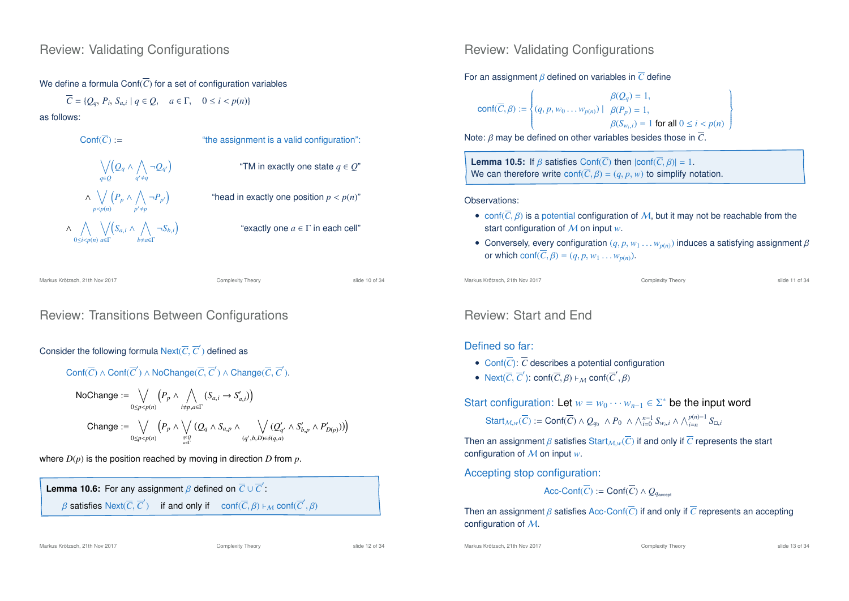### We define a formula Conf $(\overline{C})$  for a set of configuration variables

 $C = \{Q_q, P_i, S_{a,i} \mid q \in Q, \quad a \in \Gamma, \quad 0 \le i \le p(n)\}$ 

as follows:

Conf(
$$
\overline{C}
$$
): = "the assignment is a valid configuration":

\n√(Q<sub>q</sub> ∧ ∧ ¬Q<sub>q'</sub>)

\n"TM in exactly one state  $q \in Q$ "

\n∧ √(P<sub>p</sub> ∧ ∧ ¬P<sub>p'</sub>)

\n"head in exactly one position  $p < p(n)$ "

\n∧ √(S<sub>a,i</sub> ∧ ∧ ¬S<sub>b,i</sub>)

\n"exactly one  $a \in \Gamma$  in each cell"

\n"exactly one  $a \in \Gamma$  in each cell"

Markus Krötzsch, 21th Nov 2017 Complexity Theory slide 10 of 34

### Review: Transitions Between Configurations

### Consider the following formula Next( $\overline{C}, \overline{C}'$ ) defined as

$$
\text{Conf}(\overline{C}) \land \text{Conf}(\overline{C}') \land \text{NoChange}(\overline{C}, \overline{C}') \land \text{Change}(\overline{C}, \overline{C}').
$$

NoChange := 
$$
\bigvee_{0 \le p < p(n)} (P_p \land \bigwedge_{i \ne p, a \in \Gamma} (S_{a,i} \rightarrow S'_{a,i}))
$$
  
\nChange :=  $\bigvee_{0 \le p < p(n)} (P_p \land \bigvee_{q \in \Gamma} (Q_q \land S_{a,p} \land \bigvee_{(q',b,D) \in \delta(q,a)} (Q'_{q'} \land S'_{b,p} \land P'_{D(p)})))$ 

where  $D(p)$  is the position reached by moving in direction  $D$  from  $p$ .

```
Lemma 10.6: For any assignment \beta defined on \overline{C} \cup \overline{C}':
β satisfies Next(\overline{C}, \overline{C}') if and only if conf(\overline{C}, \beta) \vdash_M conf(\overline{C}', \beta)
```
Markus Krötzsch, 21th Nov 2017 **Complexity Theory** Complexity Theory slide 12 of 34

Review: Validating Configurations

#### For an assignment β defined on variables in *C* define

$$
conf(\overline{C}, \beta) := \begin{cases} \beta(Q_q) = 1, \\ (q, p, w_0 \dots w_{p(n)}) \mid \beta(P_p) = 1, \\ \beta(S_{w_i, i}) = 1 \text{ for all } 0 \le i < p(n) \end{cases}
$$

Note: β may be defined on other variables besides those in *C*.

**Lemma 10.5:** If  $\beta$  satisfies Conf( $\overline{C}$ ) then  $|conf(\overline{C}, \beta)| = 1$ . We can therefore write  $\text{conf}(\overline{C}, \beta) = (q, p, w)$  to simplify notation.

Observations:

- conf $(\overline{C}, \beta)$  is a potential configuration of M, but it may not be reachable from the start configuration of M on input *w*.
- Conversely, every configuration  $(q, p, w_1 ... w_{p(n)})$  induces a satisfying assignment  $\beta$ or which conf $(\overline{C}, \beta) = (q, p, w_1 \dots w_{p(n)})$ .

Markus Krötzsch, 21th Nov 2017 Complexity Theory slide 11 of 34

 $\overline{1}$  $\left\{ \right.$  $\int$ 

### Review: Start and End

### Defined so far:

- Conf $(\overline{C})$ :  $\overline{C}$  describes a potential configuration
- Next( $\overline{C}$ ,  $\overline{C}'$ ): conf( $\overline{C}$ ,  $\beta$ )  $\vdash_{\mathcal{M}}$  conf( $\overline{C}'$ ,  $\beta$ )

Start configuration: Let  $w = w_0 \cdots w_{n-1} \in \Sigma^*$  be the input word

 $\textsf{Start}_{\mathcal{M},w}(\overline{C}) := \textsf{Conf}(\overline{C}) \land Q_{q_0} \land P_0 \land \bigwedge_{i=0}^{n-1} S_{w_i,i} \land \bigwedge_{i=n}^{p(n)-1} S_{\Box,i}$ 

Then an assignment *β* satisfies Start<sub>M, w</sub>( $\overline{C}$ ) if and only if  $\overline{C}$  represents the start configuration of M on input *w*.

Accepting stop configuration:

$$
\mathsf{Acc\text{-}Conf}(\overline{C}) := \mathsf{Conf}(\overline{C}) \land Q_{q_{\mathsf{accept}}}
$$

Then an assignment β satisfies Acc-Conf(*C*) if and only if *C* represents an accepting configuration of M.

Markus Krötzsch, 21th Nov 2017 **Complexity Theory** Complexity Theory slide 13 of 34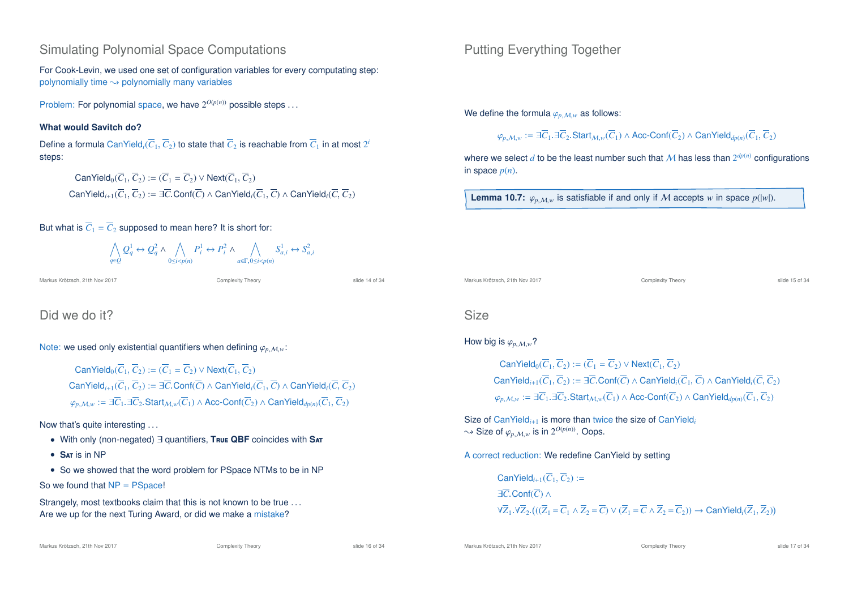### Simulating Polynomial Space Computations

For Cook-Levin, we used one set of configuration variables for every computating step: polynomially time  $\rightarrow$  polynomially many variables

Problem: For polynomial space, we have  $2^{O(p(n))}$  possible steps ...

#### **What would Savitch do?**

Define a formula CanYield<sub>i</sub>( $\overline{C}_1, \overline{C}_2$ ) to state that  $\overline{C}_2$  is reachable from  $\overline{C}_1$  in at most  $2^i$ steps:

 $CanYield_0(\overline{C}_1,\overline{C}_2) := (\overline{C}_1 = \overline{C}_2) \vee Next(\overline{C}_1,\overline{C}_2)$ CanYield<sub>*i*+1</sub>( $\overline{C}_1$ , $\overline{C}_2$ ) :=  $\exists \overline{C}$ .Conf( $\overline{C}$ )  $\wedge$  CanYield<sub>*i*</sub>( $\overline{C}_1$ ,  $\overline{C}$ )  $\wedge$  CanYield<sub>*i*</sub>( $\overline{C}$ ,  $\overline{C}_2$ )

But what is  $\overline{C}_1 = \overline{C}_2$  supposed to mean here? It is short for:

$$
\bigwedge_{q\in Q}Q_q^1 \leftrightarrow Q_q^2\land\bigwedge_{0\leq i
$$

Markus Krötzsch, 21th Nov 2017 Complexity Theory slide 14 of 34

### Did we do it?

Note: we used only existential quantifiers when defining  $\varphi_{p,M,w}$ :

 $CanYield_0(\overline{C}_1,\overline{C}_2) := (\overline{C}_1 = \overline{C}_2) \vee Next(\overline{C}_1,\overline{C}_2)$ CanYield<sub>*i*+1</sub>( $\overline{C}_1$ , $\overline{C}_2$ ) :=  $\exists \overline{C}$ .Conf( $\overline{C}$ )  $\land$  CanYield*i*( $\overline{C}_1$ ,  $\overline{C}$ )  $\land$  CanYield<sub>*i*</sub>( $\overline{C}$ ,  $\overline{C}_2$ )  $\varphi$ <sub>*p*,  $M,w$ </sub> := ∃ $\overline{C}_1$ .∃ $\overline{C}_2$ . Start $M,w(\overline{C}_1)$  ∧ Acc-Conf( $\overline{C}_2$ ) ∧ CanYield<sub>dp(n)</sub>( $\overline{C}_1, \overline{C}_2$ )

#### Now that's quite interesting . . .

- With only (non-negated) ∃ quantifiers, **T**rue **QBF** coincides with **S**at
- **S**at is in NP

• So we showed that the word problem for PSpace NTMs to be in NP

So we found that  $NP = PSpace!$ 

Strangely, most textbooks claim that this is not known to be true ... Are we up for the next Turing Award, or did we make a mistake?

Markus Krötzsch, 21th Nov 2017 **Complexity Theory** Complexity Theory slide 16 of 34

Putting Everything Together

We define the formula  $\varphi_{p,M,w}$  as follows:

$$
\varphi_{p,\mathcal{M},w} := \exists \overline{C}_1.\exists \overline{C}_2.\mathsf{Start}_{\mathcal{M},w}(\overline{C}_1) \land \mathsf{Acc\text{-}Conf}(\overline{C}_2) \land \mathsf{CanYield}_{dp(n)}(\overline{C}_1,\overline{C}_2)
$$

where we select  $d$  to be the least number such that  $\mathcal M$  has less than  $2^{dp(n)}$  configurations in space  $p(n)$ .

**Lemma 10.7:**  $\varphi$ <sub>*p*</sub>  $\mathcal{M}_w$  is satisfiable if and only if M accepts *w* in space  $p(|w|)$ .

Markus Krötzsch, 21th Nov 2017 **Complexity Theory** Complexity Theory **Complexity Theory** slide 15 of 34

### Size

#### How big is  $\varphi$ <sub>*p*</sub>  $M_w$ ?

 $CanYield_0(\overline{C}_1, \overline{C}_2) := (\overline{C}_1 = \overline{C}_2) \vee Next(\overline{C}_1, \overline{C}_2)$ CanYield<sub>*i*+1</sub>( $\overline{C}_1$ , $\overline{C}_2$ ) :=  $\exists \overline{C}$ .Conf( $\overline{C}$ )  $\wedge$  CanYield<sub>*i*</sub>( $\overline{C}_1$ ,  $\overline{C}$ )  $\wedge$  CanYield<sub>*i*</sub>( $\overline{C}$ ,  $\overline{C}_2$ )  $\varphi$ <sub>*p*, *M*,*w*</sub> := ∃*C*<sub>1</sub>.∃*C*<sub>2</sub>.Start<sub>*M*,*w*</sub>(*C*<sub>1</sub>) ∧ Acc-Conf(*C*<sub>2</sub>) ∧ CanYield<sub>dp(n</sub>)(*C*<sub>1</sub>, *C*<sub>2</sub>)

Size of CanYield<sub>*i*+1</sub> is more than twice the size of CanYield<sub>i</sub>  $\rightsquigarrow$  Size of  $\varphi_{p,M,w}$  is in  $2^{O(p(n))}$ . Oops.

A correct reduction: We redefine CanYield by setting

 $CanYield_{i+1}(\overline{C}_1, \overline{C}_2) :=$ ∃*C*.Conf(*C*) ∧  $\forall \overline{Z}_1.\forall \overline{Z}_2. (((\overline{Z}_1 = \overline{C}_1 \land \overline{Z}_2 = \overline{C}) \lor (\overline{Z}_1 = \overline{C} \land \overline{Z}_2 = \overline{C}_2)) \rightarrow \text{CanYield}_i(\overline{Z}_1, \overline{Z}_2))$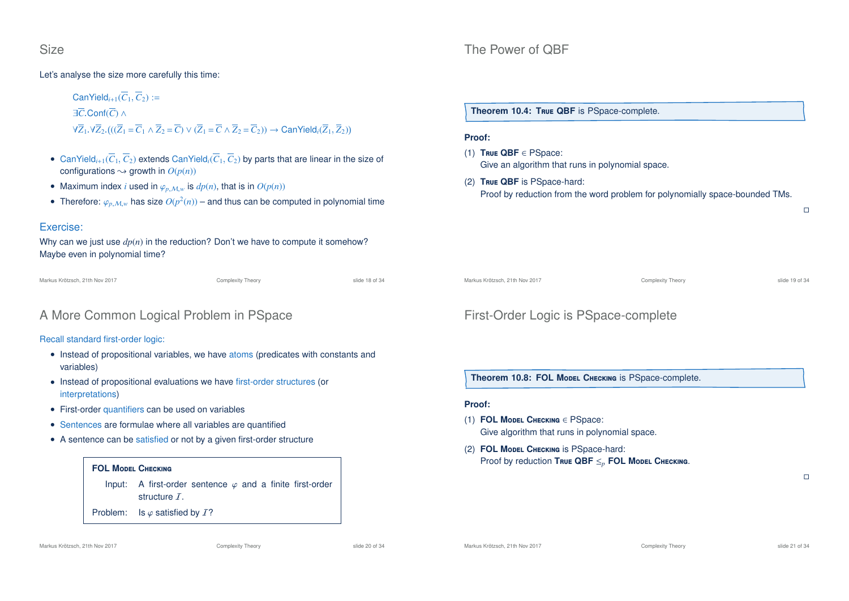#### Let's analyse the size more carefully this time:

 $CanYield_{i+1}(\overline{C}_1,\overline{C}_2) :=$ ∃*C*.Conf(*C*) ∧  $\forall \overline{Z}_1.\forall \overline{Z}_2. (((\overline{Z}_1 = \overline{C}_1 \land \overline{Z}_2 = \overline{C}) \lor (\overline{Z}_1 = \overline{C} \land \overline{Z}_2 = \overline{C}_2)) \rightarrow \text{CanYield}_i(\overline{Z}_1, \overline{Z}_2))$ 

- CanYield<sub>*i*+1</sub>( $\overline{C}_1$ ,  $\overline{C}_2$ ) extends CanYield<sub>*i*</sub>( $\overline{C}_1$ ,  $\overline{C}_2$ ) by parts that are linear in the size of configurations  $\rightsquigarrow$  growth in  $O(p(n))$
- Maximum index *i* used in  $\varphi_{n,M,w}$  is  $dp(n)$ , that is in  $O(p(n))$
- Therefore:  $\varphi_{p,M,w}$  has size  $O(p^2(n))$  and thus can be computed in polynomial time

#### Exercise:

Why can we just use *dp*(*n*) in the reduction? Don't we have to compute it somehow? Maybe even in polynomial time?

```
Markus Krötzsch, 21th Nov 2017 Complexity Theory slide 18 of 34
```
### A More Common Logical Problem in PSpace

Recall standard first-order logic:

- Instead of propositional variables, we have atoms (predicates with constants and variables)
- Instead of propositional evaluations we have first-order structures (or interpretations)
- First-order quantifiers can be used on variables
- Sentences are formulae where all variables are quantified
- A sentence can be satisfied or not by a given first-order structure

#### **FOL M**odel **C**hecking

Input: A first-order sentence  $\varphi$  and a finite first-order structure T.

Problem: Is  $\varphi$  satisfied by  $\mathcal{I}$ ?

### The Power of QBF

**Theorem 10.4: T**rue **QBF** is PSpace-complete.

#### **Proof:**

- (1) **T**rue **QBF** ∈ PSpace: Give an algorithm that runs in polynomial space.
- (2) **T**rue **QBF** is PSpace-hard: Proof by reduction from the word problem for polynomially space-bounded TMs.

Markus Krötzsch, 21th Nov 2017 **Complexity Theory** Complexity Theory **Complexity Theory** slide 19 of 34

 $\Box$ 

### First-Order Logic is PSpace-complete

**Theorem 10.8: FOL Model CHECKING IS PSpace-complete.** 

#### **Proof:**

- (1) **FOL M**odel **C**hecking ∈ PSpace: Give algorithm that runs in polynomial space.
- (2) **FOL M**odel **C**hecking is PSpace-hard: Proof by reduction **T**rue **QBF** ≤*<sup>p</sup>* **FOL M**odel **C**hecking.

 $\Box$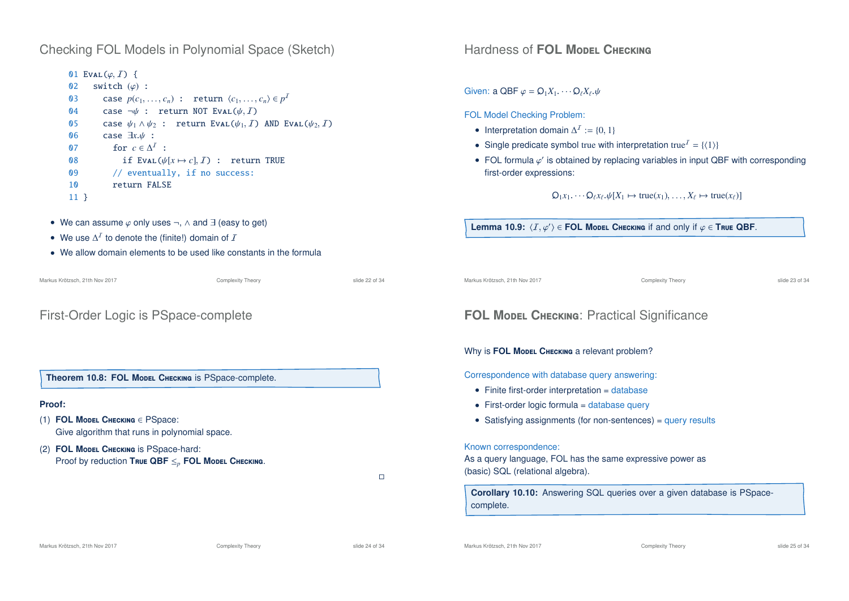### Checking FOL Models in Polynomial Space (Sketch)

### 01 EVAL $(\varphi, I)$  {<br>02 switch  $(\varphi)$ switch  $(\varphi)$  : 03 case  $p(c_1, ..., c_n)$  : return  $\langle c_1, ..., c_n \rangle \in p^1$ 04 case  $\neg \psi$  : return NOT Eval( $\psi$ , I)<br>05 case  $\psi_1 \wedge \psi_2$  : return Eval( $\psi_1$ , I) 05 case  $\psi_1 \wedge \psi_2$ : return Eval( $\psi_1$ , *I*) AND Eval( $\psi_2$ , *I*) 06 case  $\exists x. \psi$ : 06 case  $\exists x.\psi$  :<br>07 for  $c \in \Lambda^2$ 07 for  $c \in \Delta^1$  : 08 if Eval( $\psi[x \mapsto c]$ , *I*) : return TRUE<br>09 // eventually, if no success: // eventually, if no success: 10 return FALSE 11 }

- We can assume  $\varphi$  only uses  $\neg$ ,  $\wedge$  and  $\exists$  (easy to get)
- We use  $\Delta^I$  to denote the (finite!) domain of  $I$
- We allow domain elements to be used like constants in the formula

| Markus Krötzsch, 21th Nov 2017                                                                     | Complexity Theory | slide 22 of 34 | Markus Krötzsch, 21th Nov 2017                                                                                          | Complexity Theory                                                       | slide 23 of 34 |
|----------------------------------------------------------------------------------------------------|-------------------|----------------|-------------------------------------------------------------------------------------------------------------------------|-------------------------------------------------------------------------|----------------|
| First-Order Logic is PSpace-complete                                                               |                   |                | <b>FOL MODEL CHECKING: Practical Significance</b>                                                                       |                                                                         |                |
|                                                                                                    |                   |                | Why is <b>FOL Model CHECKING</b> a relevant problem?                                                                    |                                                                         |                |
| Theorem 10.8: FOL Model CHECKING is PSpace-complete.                                               |                   |                | Correspondence with database query answering:<br>• Finite first-order interpretation $=$ database                       |                                                                         |                |
| <b>Proof:</b>                                                                                      |                   |                | • First-order logic formula $=$ database query                                                                          |                                                                         |                |
| (1) FOL MODEL CHECKING $\in$ PSpace:<br>Give algorithm that runs in polynomial space.              |                   |                |                                                                                                                         | • Satisfying assignments (for non-sentences) = query results            |                |
| (2) FOL MODEL CHECKING IS PSpace-hard:<br>Proof by reduction True QBF $\leq_p$ FOL Model Checking. |                   | $\Box$         | Known correspondence:<br>As a query language, FOL has the same expressive power as<br>(basic) SQL (relational algebra). |                                                                         |                |
|                                                                                                    |                   |                | complete.                                                                                                               | Corollary 10.10: Answering SQL queries over a given database is PSpace- |                |

**Hardness of FOL Model CHECKING** 

Given: a QBF  $\varphi = \mathsf{O}_1X_1 \cdots \mathsf{O}_{\ell}X_{\ell} \psi$ 

• Interpretation domain  $\Delta^2 := \{0, 1\}$ 

• Single predicate symbol true with interpretation true<sup> $I = \{\langle 1 \rangle\}$ </sup>

**Lemma 10.9:**  $\langle I, \varphi' \rangle \in$  **FOL Model Checking if and only if**  $\varphi \in$  **True QBF.** 

• FOL formula  $\varphi'$  is obtained by replacing variables in input QBF with corresponding

 $\mathsf{Q}_1 x_1 \cdots \mathsf{Q}_\ell x_\ell \cdot \psi[X_1 \mapsto \text{true}(x_1), \ldots, X_\ell \mapsto \text{true}(x_\ell)]$ 

FOL Model Checking Problem:

first-order expressions: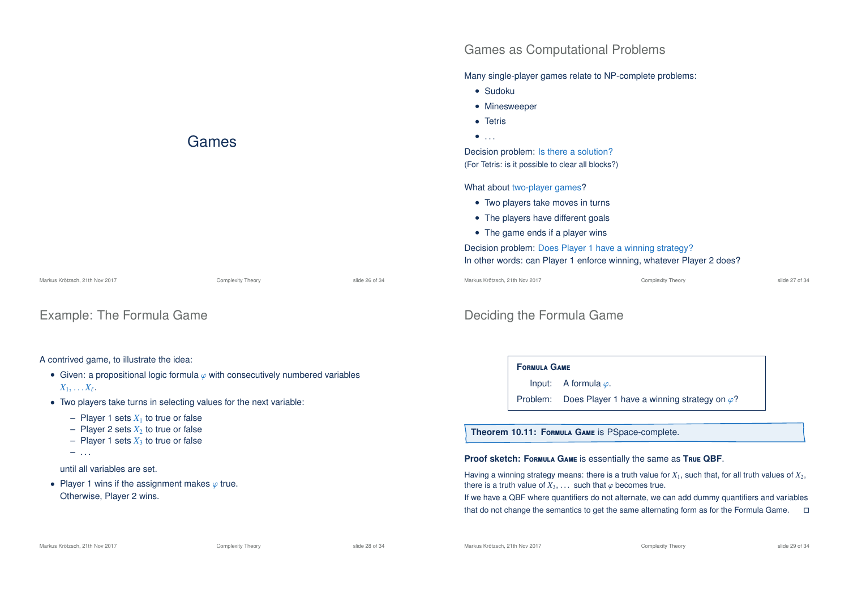

### Example: The Formula Game

#### A contrived game, to illustrate the idea:

- Given: a propositional logic formula  $\varphi$  with consecutively numbered variables  $X_1, \ldots X_\ell.$
- Two players take turns in selecting values for the next variable:
	- Player 1 sets  $X_1$  to true or false
	- $-$  Player 2 sets  $X_2$  to true or false
	- $-$  Player 1 sets  $X_3$  to true or false
	- $-$  . . .

#### until all variables are set.

• Player 1 wins if the assignment makes  $\varphi$  true. Otherwise, Player 2 wins.

# Deciding the Formula Game

#### **F**ormula **G**ame

Input: A formula  $\varphi$ .

Games as Computational Problems

Many single-player games relate to NP-complete problems:

Problem: Does Player 1 have a winning strategy on  $\varphi$ ?

**Theorem 10.11: F**ormula **G**ame is PSpace-complete.

#### **Proof sketch: F**ormula **G**ame is essentially the same as **T**rue **QBF**.

Having a winning strategy means: there is a truth value for  $X_1$ , such that, for all truth values of  $X_2$ , there is a truth value of  $X_3, \ldots$  such that  $\varphi$  becomes true.

If we have a QBF where quantifiers do not alternate, we can add dummy quantifiers and variables that do not change the semantics to get the same alternating form as for the Formula Game.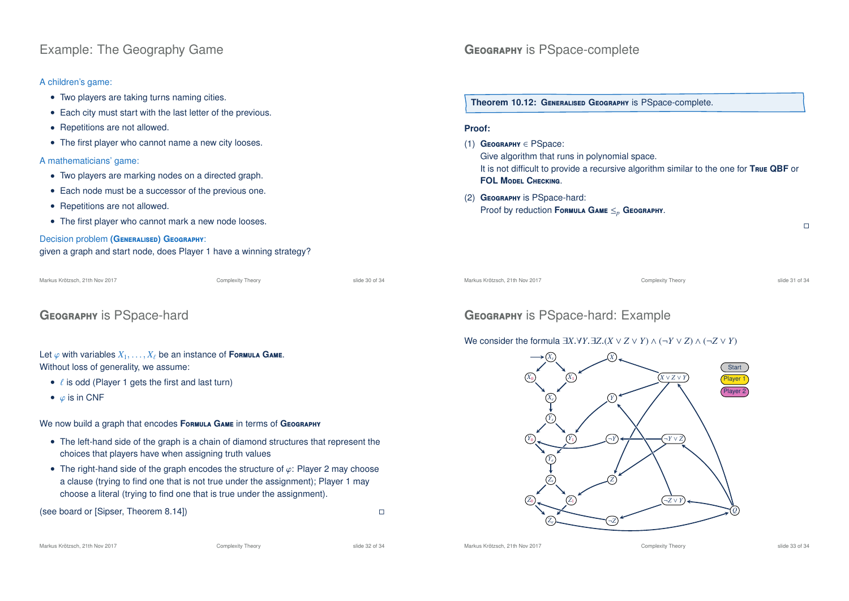### Example: The Geography Game

#### A children's game:

- Two players are taking turns naming cities.
- Each city must start with the last letter of the previous.
- Repetitions are not allowed.
- The first player who cannot name a new city looses.

#### A mathematicians' game:

- Two players are marking nodes on a directed graph.
- Each node must be a successor of the previous one.
- Repetitions are not allowed.
- The first player who cannot mark a new node looses.

# Decision problem **(G**eneralised**) G**eography:

| given a graph and start node, does Player 1 have a winning strategy? |  |
|----------------------------------------------------------------------|--|
|----------------------------------------------------------------------|--|

#### Markus Krötzsch, 21th Nov 2017 Complexity Theory slide 30 of 34

### **G**eography is PSpace-hard

#### Let  $\varphi$  with variables  $X_1, \ldots, X_\ell$  be an instance of **Formula GAME.** Without loss of generality, we assume:

- $\ell$  is odd (Player 1 gets the first and last turn)
- $\bullet$   $\varphi$  is in CNF

#### We now build a graph that encodes Formula GAME in terms of GEOGRAPHY

- The left-hand side of the graph is a chain of diamond structures that represent the choices that players have when assigning truth values
- The right-hand side of the graph encodes the structure of  $\varphi$ : Player 2 may choose a clause (trying to find one that is not true under the assignment); Player 1 may choose a literal (trying to find one that is true under the assignment).

(see board or [Sipser, Theorem 8.14])

# GEOGRAPHY is PSpace-complete

**Theorem 10.12: G**eneralised **G**eography is PSpace-complete.

#### **Proof:**

- (1) **G**eography ∈ PSpace:
	- Give algorithm that runs in polynomial space. It is not difficult to provide a recursive algorithm similar to the one for **T**rue **QBF** or **FOL M**odel **C**hecking.

#### (2) **G**eography is PSpace-hard: Proof by reduction **F**ormula **G**ame ≤*<sup>p</sup>* **G**eography.

Markus Krötzsch, 21th Nov 2017 Complexity Theory slide 31 of 34

 $\Box$ 

### **G**eography is PSpace-hard: Example

#### We consider the formula  $\exists X \forall Y \exists Z. (X \lor Z \lor Y) \land (\neg Y \lor Z) \land (\neg Z \lor Y)$



Markus Krötzsch, 21th Nov 2017 **Complexity Theory** Complexity Theory slide 32 of 34

Markus Krötzsch, 21th Nov 2017 **Complexity Theory** Complexity Theory slide 33 of 34